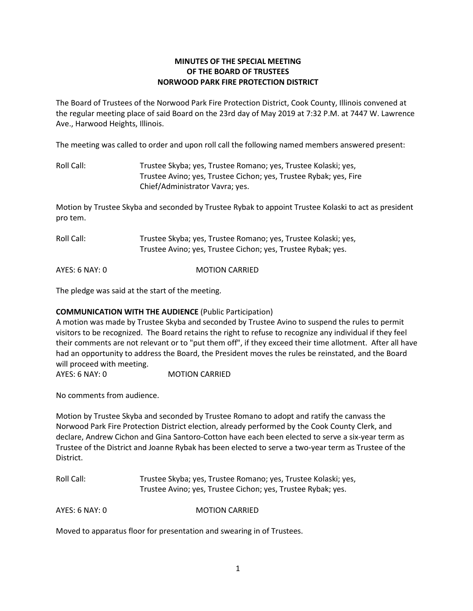# **MINUTES OF THE SPECIAL MEETING OF THE BOARD OF TRUSTEES NORWOOD PARK FIRE PROTECTION DISTRICT**

The Board of Trustees of the Norwood Park Fire Protection District, Cook County, Illinois convened at the regular meeting place of said Board on the 23rd day of May 2019 at 7:32 P.M. at 7447 W. Lawrence Ave., Harwood Heights, Illinois.

The meeting was called to order and upon roll call the following named members answered present:

Roll Call: Trustee Skyba; yes, Trustee Romano; yes, Trustee Kolaski; yes, Trustee Avino; yes, Trustee Cichon; yes, Trustee Rybak; yes, Fire Chief/Administrator Vavra; yes.

Motion by Trustee Skyba and seconded by Trustee Rybak to appoint Trustee Kolaski to act as president pro tem.

Roll Call: Trustee Skyba; yes, Trustee Romano; yes, Trustee Kolaski; yes, Trustee Avino; yes, Trustee Cichon; yes, Trustee Rybak; yes.

AYES: 6 NAY: 0 MOTION CARRIED

The pledge was said at the start of the meeting.

# **COMMUNICATION WITH THE AUDIENCE** (Public Participation)

A motion was made by Trustee Skyba and seconded by Trustee Avino to suspend the rules to permit visitors to be recognized. The Board retains the right to refuse to recognize any individual if they feel their comments are not relevant or to "put them off", if they exceed their time allotment. After all have had an opportunity to address the Board, the President moves the rules be reinstated, and the Board will proceed with meeting.

AYES: 6 NAY: 0 MOTION CARRIED

No comments from audience.

Motion by Trustee Skyba and seconded by Trustee Romano to adopt and ratify the canvass the Norwood Park Fire Protection District election, already performed by the Cook County Clerk, and declare, Andrew Cichon and Gina Santoro-Cotton have each been elected to serve a six-year term as Trustee of the District and Joanne Rybak has been elected to serve a two-year term as Trustee of the District.

Roll Call: Trustee Skyba; yes, Trustee Romano; yes, Trustee Kolaski; yes, Trustee Avino; yes, Trustee Cichon; yes, Trustee Rybak; yes.

AYES: 6 NAY: 0 MOTION CARRIED

Moved to apparatus floor for presentation and swearing in of Trustees.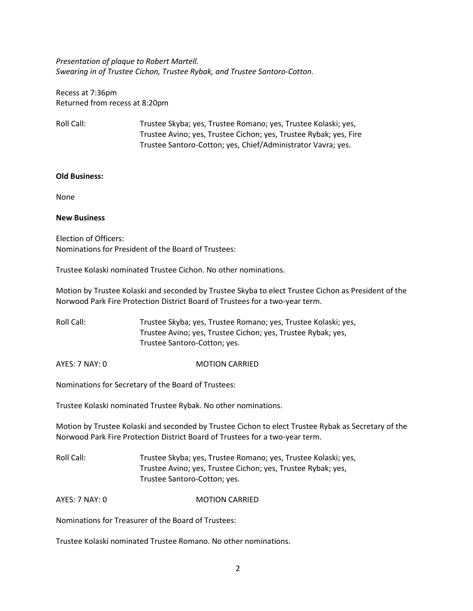*Presentation of plaque to Robert Martell. Swearing in of Trustee Cichon, Trustee Rybak, and Trustee Santoro-Cotton.*

Recess at 7:36pm Returned from recess at 8:20pm

Roll Call: Trustee Skyba; yes, Trustee Romano; yes, Trustee Kolaski; yes, Trustee Avino; yes, Trustee Cichon; yes, Trustee Rybak; yes, Fire Trustee Santoro-Cotton; yes, Chief/Administrator Vavra; yes.

# **Old Business:**

None

# **New Business**

Election of Officers: Nominations for President of the Board of Trustees:

Trustee Kolaski nominated Trustee Cichon. No other nominations.

Motion by Trustee Kolaski and seconded by Trustee Skyba to elect Trustee Cichon as President of the Norwood Park Fire Protection District Board of Trustees for a two-year term.

Roll Call: Trustee Skyba; yes, Trustee Romano; yes, Trustee Kolaski; yes, Trustee Avino; yes, Trustee Cichon; yes, Trustee Rybak; yes, Trustee Santoro-Cotton; yes.

AYES: 7 NAY: 0 MOTION CARRIED

Nominations for Secretary of the Board of Trustees:

Trustee Kolaski nominated Trustee Rybak. No other nominations.

Motion by Trustee Kolaski and seconded by Trustee Cichon to elect Trustee Rybak as Secretary of the Norwood Park Fire Protection District Board of Trustees for a two-year term.

Roll Call: Trustee Skyba; yes, Trustee Romano; yes, Trustee Kolaski; yes, Trustee Avino; yes, Trustee Cichon; yes, Trustee Rybak; yes, Trustee Santoro-Cotton; yes.

AYES: 7 NAY: 0 MOTION CARRIED

Nominations for Treasurer of the Board of Trustees:

Trustee Kolaski nominated Trustee Romano. No other nominations.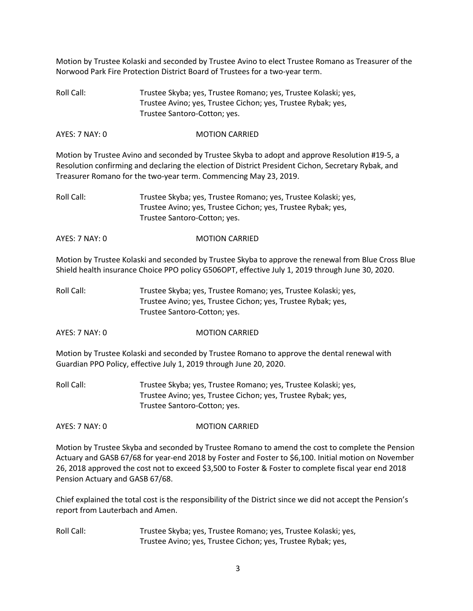Motion by Trustee Kolaski and seconded by Trustee Avino to elect Trustee Romano as Treasurer of the Norwood Park Fire Protection District Board of Trustees for a two-year term.

Roll Call: Trustee Skyba; yes, Trustee Romano; yes, Trustee Kolaski; yes, Trustee Avino; yes, Trustee Cichon; yes, Trustee Rybak; yes, Trustee Santoro-Cotton; yes.

### AYES: 7 NAY: 0 MOTION CARRIED

Motion by Trustee Avino and seconded by Trustee Skyba to adopt and approve Resolution #19-5, a Resolution confirming and declaring the election of District President Cichon, Secretary Rybak, and Treasurer Romano for the two-year term. Commencing May 23, 2019.

- Roll Call: Trustee Skyba; yes, Trustee Romano; yes, Trustee Kolaski; yes, Trustee Avino; yes, Trustee Cichon; yes, Trustee Rybak; yes, Trustee Santoro-Cotton; yes.
- AYES: 7 NAY: 0 MOTION CARRIED

Motion by Trustee Kolaski and seconded by Trustee Skyba to approve the renewal from Blue Cross Blue Shield health insurance Choice PPO policy G506OPT, effective July 1, 2019 through June 30, 2020.

- Roll Call: Trustee Skyba; yes, Trustee Romano; yes, Trustee Kolaski; yes, Trustee Avino; yes, Trustee Cichon; yes, Trustee Rybak; yes, Trustee Santoro-Cotton; yes.
- AYES: 7 NAY: 0 MOTION CARRIED

Motion by Trustee Kolaski and seconded by Trustee Romano to approve the dental renewal with Guardian PPO Policy, effective July 1, 2019 through June 20, 2020.

Roll Call: Trustee Skyba; yes, Trustee Romano; yes, Trustee Kolaski; yes, Trustee Avino; yes, Trustee Cichon; yes, Trustee Rybak; yes, Trustee Santoro-Cotton; yes.

AYES: 7 NAY: 0 MOTION CARRIED

Motion by Trustee Skyba and seconded by Trustee Romano to amend the cost to complete the Pension Actuary and GASB 67/68 for year-end 2018 by Foster and Foster to \$6,100. Initial motion on November 26, 2018 approved the cost not to exceed \$3,500 to Foster & Foster to complete fiscal year end 2018 Pension Actuary and GASB 67/68.

Chief explained the total cost is the responsibility of the District since we did not accept the Pension's report from Lauterbach and Amen.

Roll Call: Trustee Skyba; yes, Trustee Romano; yes, Trustee Kolaski; yes, Trustee Avino; yes, Trustee Cichon; yes, Trustee Rybak; yes,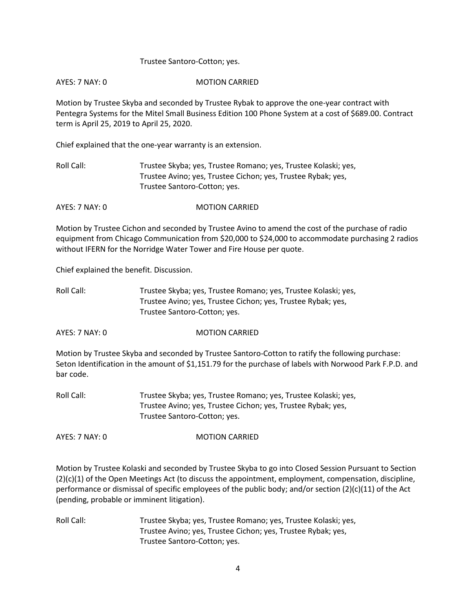# Trustee Santoro-Cotton; yes.

# AYES: 7 NAY: 0 MOTION CARRIED

Motion by Trustee Skyba and seconded by Trustee Rybak to approve the one-year contract with Pentegra Systems for the Mitel Small Business Edition 100 Phone System at a cost of \$689.00. Contract term is April 25, 2019 to April 25, 2020.

Chief explained that the one-year warranty is an extension.

Roll Call: Trustee Skyba; yes, Trustee Romano; yes, Trustee Kolaski; yes, Trustee Avino; yes, Trustee Cichon; yes, Trustee Rybak; yes, Trustee Santoro-Cotton; yes.

AYES: 7 NAY: 0 MOTION CARRIED

Motion by Trustee Cichon and seconded by Trustee Avino to amend the cost of the purchase of radio equipment from Chicago Communication from \$20,000 to \$24,000 to accommodate purchasing 2 radios without IFERN for the Norridge Water Tower and Fire House per quote.

Chief explained the benefit. Discussion.

| Roll Call: | Trustee Skyba; yes, Trustee Romano; yes, Trustee Kolaski; yes, |
|------------|----------------------------------------------------------------|
|            | Trustee Avino; yes, Trustee Cichon; yes, Trustee Rybak; yes,   |
|            | Trustee Santoro-Cotton; yes.                                   |

AYES: 7 NAY: 0 MOTION CARRIED

Motion by Trustee Skyba and seconded by Trustee Santoro-Cotton to ratify the following purchase: Seton Identification in the amount of \$1,151.79 for the purchase of labels with Norwood Park F.P.D. and bar code.

Roll Call: Trustee Skyba; yes, Trustee Romano; yes, Trustee Kolaski; yes, Trustee Avino; yes, Trustee Cichon; yes, Trustee Rybak; yes, Trustee Santoro-Cotton; yes.

AYES: 7 NAY: 0 MOTION CARRIED

Motion by Trustee Kolaski and seconded by Trustee Skyba to go into Closed Session Pursuant to Section (2)(c)(1) of the Open Meetings Act (to discuss the appointment, employment, compensation, discipline, performance or dismissal of specific employees of the public body; and/or section (2)(c)(11) of the Act (pending, probable or imminent litigation).

Roll Call: Trustee Skyba; yes, Trustee Romano; yes, Trustee Kolaski; yes, Trustee Avino; yes, Trustee Cichon; yes, Trustee Rybak; yes, Trustee Santoro-Cotton; yes.